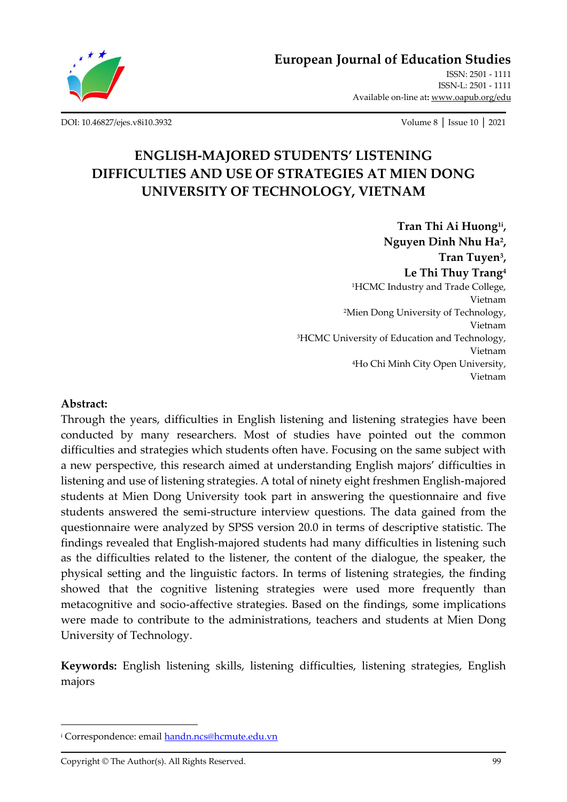

[ISSN-L: 2501 -](http://oapub.org/edu/index.php/ejes) 1111 Available on-line at**:** [www.oapub.org/edu](http://www.oapub.org/edu)

[DOI: 10.46827/ejes.v8i10.3932](http://dx.doi.org/10.46827/ejes.v8i10.3932) Volume 8 │ Issue 10 │ 2021

# **ENGLISH-MAJORED STUDENTS' LISTENING DIFFICULTIES AND USE OF STRATEGIES AT MIEN DONG UNIVERSITY OF TECHNOLOGY, VIETNAM**

**Tran Thi Ai Huong1i , Nguyen Dinh Nhu Ha<sup>2</sup> , Tran Tuyen<sup>3</sup> , Le Thi Thuy Trang<sup>4</sup>** <sup>1</sup>HCMC Industry and Trade College, Vietnam <sup>2</sup>Mien Dong University of Technology, Vietnam <sup>3</sup>HCMC University of Education and Technology, Vietnam <sup>4</sup>Ho Chi Minh City Open University, Vietnam

#### **Abstract:**

Through the years, difficulties in English listening and listening strategies have been conducted by many researchers. Most of studies have pointed out the common difficulties and strategies which students often have. Focusing on the same subject with a new perspective, this research aimed at understanding English majors' difficulties in listening and use of listening strategies. A total of ninety eight freshmen English-majored students at Mien Dong University took part in answering the questionnaire and five students answered the semi-structure interview questions. The data gained from the questionnaire were analyzed by SPSS version 20.0 in terms of descriptive statistic. The findings revealed that English-majored students had many difficulties in listening such as the difficulties related to the listener, the content of the dialogue, the speaker, the physical setting and the linguistic factors. In terms of listening strategies, the finding showed that the cognitive listening strategies were used more frequently than metacognitive and socio-affective strategies. Based on the findings, some implications were made to contribute to the administrations, teachers and students at Mien Dong University of Technology.

**Keywords:** English listening skills, listening difficulties, listening strategies, English majors

<sup>&</sup>lt;sup>i</sup> Correspondence: emai[l handn.ncs@hcmute.edu.vn](mailto:handn.ncs@hcmute.edu.vn)

Copyright © The Author(s). All Rights Reserved.  $\frac{1}{2}$  and  $\frac{1}{2}$  and  $\frac{1}{2}$  and  $\frac{1}{2}$  and  $\frac{1}{2}$  and  $\frac{1}{2}$  and  $\frac{1}{2}$  and  $\frac{1}{2}$  and  $\frac{1}{2}$  and  $\frac{1}{2}$  and  $\frac{1}{2}$  and  $\frac{1}{2}$  and  $\frac{1}{$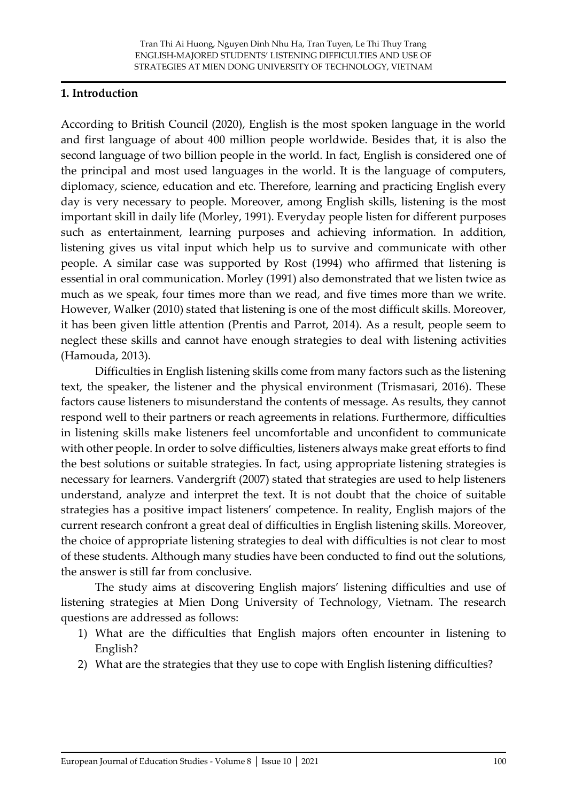### **1. Introduction**

According to British Council (2020), English is the most spoken language in the world and first language of about 400 million people worldwide. Besides that, it is also the second language of two billion people in the world. In fact, English is considered one of the principal and most used languages in the world. It is the language of computers, diplomacy, science, education and etc. Therefore, learning and practicing English every day is very necessary to people. Moreover, among English skills, listening is the most important skill in daily life (Morley, 1991). Everyday people listen for different purposes such as entertainment, learning purposes and achieving information. In addition, listening gives us vital input which help us to survive and communicate with other people. A similar case was supported by Rost (1994) who affirmed that listening is essential in oral communication. Morley (1991) also demonstrated that we listen twice as much as we speak, four times more than we read, and five times more than we write. However, Walker (2010) stated that listening is one of the most difficult skills. Moreover, it has been given little attention (Prentis and Parrot, 2014). As a result, people seem to neglect these skills and cannot have enough strategies to deal with listening activities (Hamouda, 2013).

Difficulties in English listening skills come from many factors such as the listening text, the speaker, the listener and the physical environment (Trismasari, 2016). These factors cause listeners to misunderstand the contents of message. As results, they cannot respond well to their partners or reach agreements in relations. Furthermore, difficulties in listening skills make listeners feel uncomfortable and unconfident to communicate with other people. In order to solve difficulties, listeners always make great efforts to find the best solutions or suitable strategies. In fact, using appropriate listening strategies is necessary for learners. Vandergrift (2007) stated that strategies are used to help listeners understand, analyze and interpret the text. It is not doubt that the choice of suitable strategies has a positive impact listeners' competence. In reality, English majors of the current research confront a great deal of difficulties in English listening skills. Moreover, the choice of appropriate listening strategies to deal with difficulties is not clear to most of these students. Although many studies have been conducted to find out the solutions, the answer is still far from conclusive.

The study aims at discovering English majors' listening difficulties and use of listening strategies at Mien Dong University of Technology, Vietnam. The research questions are addressed as follows:

- 1) What are the difficulties that English majors often encounter in listening to English?
- 2) What are the strategies that they use to cope with English listening difficulties?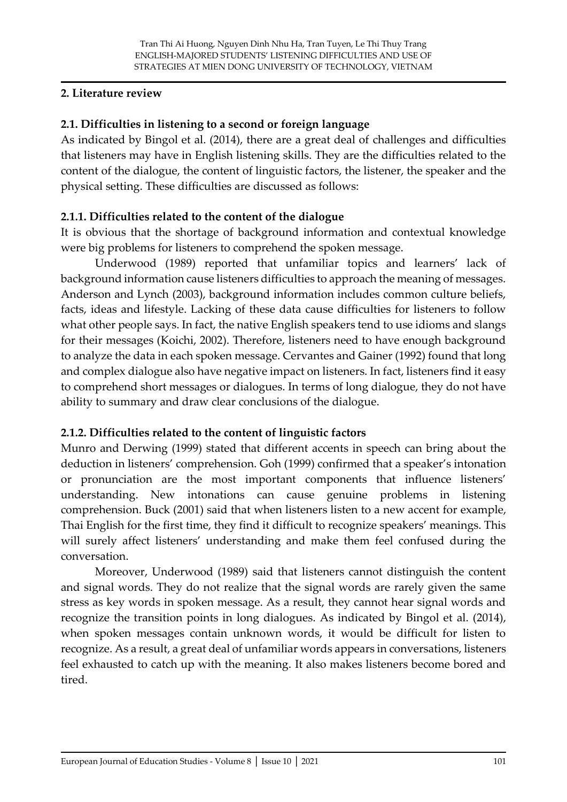### **2. Literature review**

### **2.1. Difficulties in listening to a second or foreign language**

As indicated by Bingol et al. (2014), there are a great deal of challenges and difficulties that listeners may have in English listening skills. They are the difficulties related to the content of the dialogue, the content of linguistic factors, the listener, the speaker and the physical setting. These difficulties are discussed as follows:

### **2.1.1. Difficulties related to the content of the dialogue**

It is obvious that the shortage of background information and contextual knowledge were big problems for listeners to comprehend the spoken message.

Underwood (1989) reported that unfamiliar topics and learners' lack of background information cause listeners difficulties to approach the meaning of messages. Anderson and Lynch (2003), background information includes common culture beliefs, facts, ideas and lifestyle. Lacking of these data cause difficulties for listeners to follow what other people says. In fact, the native English speakers tend to use idioms and slangs for their messages (Koichi, 2002). Therefore, listeners need to have enough background to analyze the data in each spoken message. Cervantes and Gainer (1992) found that long and complex dialogue also have negative impact on listeners. In fact, listeners find it easy to comprehend short messages or dialogues. In terms of long dialogue, they do not have ability to summary and draw clear conclusions of the dialogue.

# **2.1.2. Difficulties related to the content of linguistic factors**

Munro and Derwing (1999) stated that different accents in speech can bring about the deduction in listeners' comprehension. Goh (1999) confirmed that a speaker's intonation or pronunciation are the most important components that influence listeners' understanding. New intonations can cause genuine problems in listening comprehension. Buck (2001) said that when listeners listen to a new accent for example, Thai English for the first time, they find it difficult to recognize speakers' meanings. This will surely affect listeners' understanding and make them feel confused during the conversation.

Moreover, Underwood (1989) said that listeners cannot distinguish the content and signal words. They do not realize that the signal words are rarely given the same stress as key words in spoken message. As a result, they cannot hear signal words and recognize the transition points in long dialogues. As indicated by Bingol et al. (2014), when spoken messages contain unknown words, it would be difficult for listen to recognize. As a result, a great deal of unfamiliar words appears in conversations, listeners feel exhausted to catch up with the meaning. It also makes listeners become bored and tired.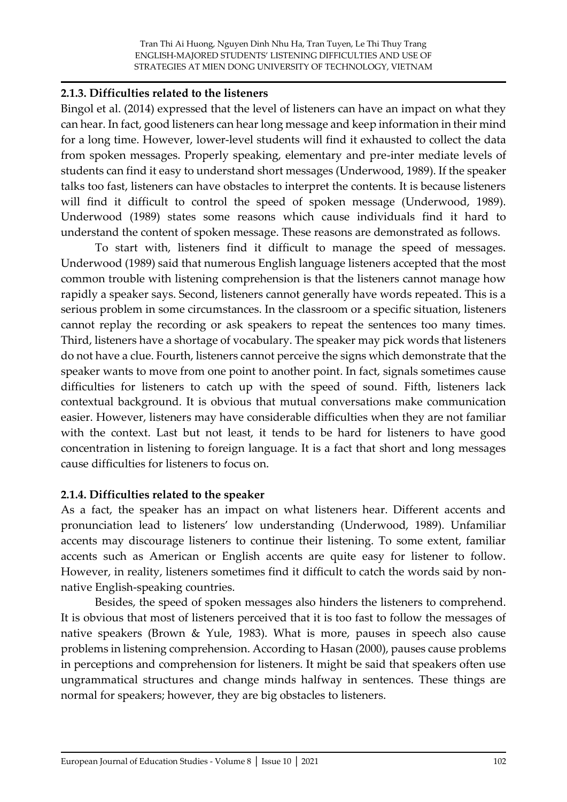#### **2.1.3. Difficulties related to the listeners**

Bingol et al. (2014) expressed that the level of listeners can have an impact on what they can hear. In fact, good listeners can hear long message and keep information in their mind for a long time. However, lower-level students will find it exhausted to collect the data from spoken messages. Properly speaking, elementary and pre-inter mediate levels of students can find it easy to understand short messages (Underwood, 1989). If the speaker talks too fast, listeners can have obstacles to interpret the contents. It is because listeners will find it difficult to control the speed of spoken message (Underwood, 1989). Underwood (1989) states some reasons which cause individuals find it hard to understand the content of spoken message. These reasons are demonstrated as follows.

To start with, listeners find it difficult to manage the speed of messages. Underwood (1989) said that numerous English language listeners accepted that the most common trouble with listening comprehension is that the listeners cannot manage how rapidly a speaker says. Second, listeners cannot generally have words repeated. This is a serious problem in some circumstances. In the classroom or a specific situation, listeners cannot replay the recording or ask speakers to repeat the sentences too many times. Third, listeners have a shortage of vocabulary. The speaker may pick words that listeners do not have a clue. Fourth, listeners cannot perceive the signs which demonstrate that the speaker wants to move from one point to another point. In fact, signals sometimes cause difficulties for listeners to catch up with the speed of sound. Fifth, listeners lack contextual background. It is obvious that mutual conversations make communication easier. However, listeners may have considerable difficulties when they are not familiar with the context. Last but not least, it tends to be hard for listeners to have good concentration in listening to foreign language. It is a fact that short and long messages cause difficulties for listeners to focus on.

### **2.1.4. Difficulties related to the speaker**

As a fact, the speaker has an impact on what listeners hear. Different accents and pronunciation lead to listeners' low understanding (Underwood, 1989). Unfamiliar accents may discourage listeners to continue their listening. To some extent, familiar accents such as American or English accents are quite easy for listener to follow. However, in reality, listeners sometimes find it difficult to catch the words said by nonnative English-speaking countries.

Besides, the speed of spoken messages also hinders the listeners to comprehend. It is obvious that most of listeners perceived that it is too fast to follow the messages of native speakers (Brown & Yule, 1983). What is more, pauses in speech also cause problems in listening comprehension. According to Hasan (2000), pauses cause problems in perceptions and comprehension for listeners. It might be said that speakers often use ungrammatical structures and change minds halfway in sentences. These things are normal for speakers; however, they are big obstacles to listeners.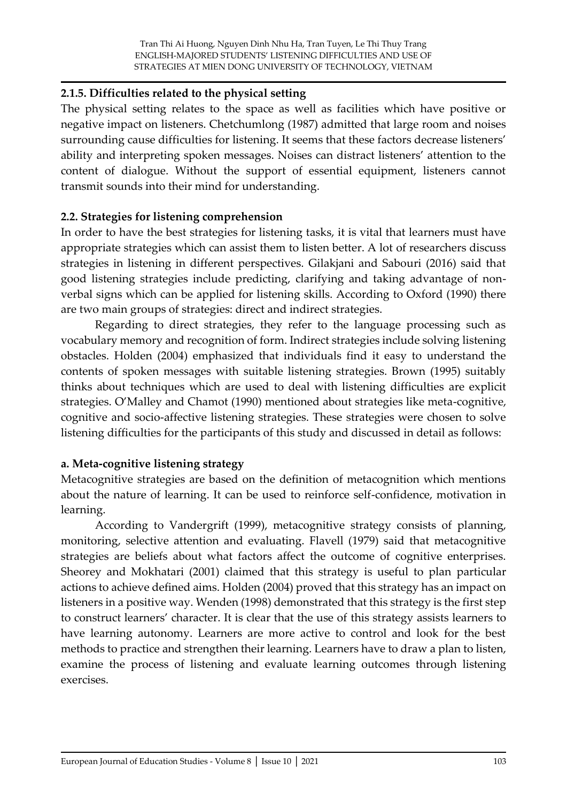#### **2.1.5. Difficulties related to the physical setting**

The physical setting relates to the space as well as facilities which have positive or negative impact on listeners. Chetchumlong (1987) admitted that large room and noises surrounding cause difficulties for listening. It seems that these factors decrease listeners' ability and interpreting spoken messages. Noises can distract listeners' attention to the content of dialogue. Without the support of essential equipment, listeners cannot transmit sounds into their mind for understanding.

#### **2.2. Strategies for listening comprehension**

In order to have the best strategies for listening tasks, it is vital that learners must have appropriate strategies which can assist them to listen better. A lot of researchers discuss strategies in listening in different perspectives. Gilakjani and Sabouri (2016) said that good listening strategies include predicting, clarifying and taking advantage of nonverbal signs which can be applied for listening skills. According to Oxford (1990) there are two main groups of strategies: direct and indirect strategies.

Regarding to direct strategies, they refer to the language processing such as vocabulary memory and recognition of form. Indirect strategies include solving listening obstacles. Holden (2004) emphasized that individuals find it easy to understand the contents of spoken messages with suitable listening strategies. Brown (1995) suitably thinks about techniques which are used to deal with listening difficulties are explicit strategies. O'Malley and Chamot (1990) mentioned about strategies like meta-cognitive, cognitive and socio-affective listening strategies. These strategies were chosen to solve listening difficulties for the participants of this study and discussed in detail as follows:

### **a. Meta-cognitive listening strategy**

Metacognitive strategies are based on the definition of metacognition which mentions about the nature of learning. It can be used to reinforce self-confidence, motivation in learning.

According to Vandergrift (1999), metacognitive strategy consists of planning, monitoring, selective attention and evaluating. Flavell (1979) said that metacognitive strategies are beliefs about what factors affect the outcome of cognitive enterprises. Sheorey and Mokhatari (2001) claimed that this strategy is useful to plan particular actions to achieve defined aims. Holden (2004) proved that this strategy has an impact on listeners in a positive way. Wenden (1998) demonstrated that this strategy is the first step to construct learners' character. It is clear that the use of this strategy assists learners to have learning autonomy. Learners are more active to control and look for the best methods to practice and strengthen their learning. Learners have to draw a plan to listen, examine the process of listening and evaluate learning outcomes through listening exercises.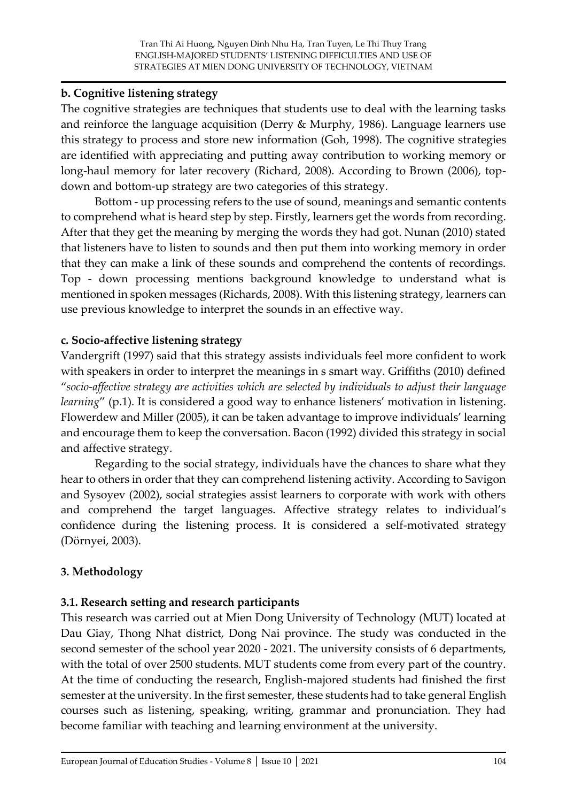### **b. Cognitive listening strategy**

The cognitive strategies are techniques that students use to deal with the learning tasks and reinforce the language acquisition (Derry & Murphy, 1986). Language learners use this strategy to process and store new information (Goh, 1998). The cognitive strategies are identified with appreciating and putting away contribution to working memory or long-haul memory for later recovery (Richard, 2008). According to Brown (2006), topdown and bottom-up strategy are two categories of this strategy.

Bottom - up processing refers to the use of sound, meanings and semantic contents to comprehend what is heard step by step. Firstly, learners get the words from recording. After that they get the meaning by merging the words they had got. Nunan (2010) stated that listeners have to listen to sounds and then put them into working memory in order that they can make a link of these sounds and comprehend the contents of recordings. Top - down processing mentions background knowledge to understand what is mentioned in spoken messages (Richards, 2008). With this listening strategy, learners can use previous knowledge to interpret the sounds in an effective way.

# **c. Socio-affective listening strategy**

Vandergrift (1997) said that this strategy assists individuals feel more confident to work with speakers in order to interpret the meanings in s smart way. Griffiths (2010) defined "*socio-affective strategy are activities which are selected by individuals to adjust their language learning*" (p.1). It is considered a good way to enhance listeners' motivation in listening. Flowerdew and Miller (2005), it can be taken advantage to improve individuals' learning and encourage them to keep the conversation. Bacon (1992) divided this strategy in social and affective strategy.

Regarding to the social strategy, individuals have the chances to share what they hear to others in order that they can comprehend listening activity. According to Savigon and Sysoyev (2002), social strategies assist learners to corporate with work with others and comprehend the target languages. Affective strategy relates to individual's confidence during the listening process. It is considered a self-motivated strategy (Dörnyei, 2003).

# **3. Methodology**

# **3.1. Research setting and research participants**

This research was carried out at Mien Dong University of Technology (MUT) located at Dau Giay, Thong Nhat district, Dong Nai province. The study was conducted in the second semester of the school year 2020 - 2021. The university consists of 6 departments, with the total of over 2500 students. MUT students come from every part of the country. At the time of conducting the research, English-majored students had finished the first semester at the university. In the first semester, these students had to take general English courses such as listening, speaking, writing, grammar and pronunciation. They had become familiar with teaching and learning environment at the university.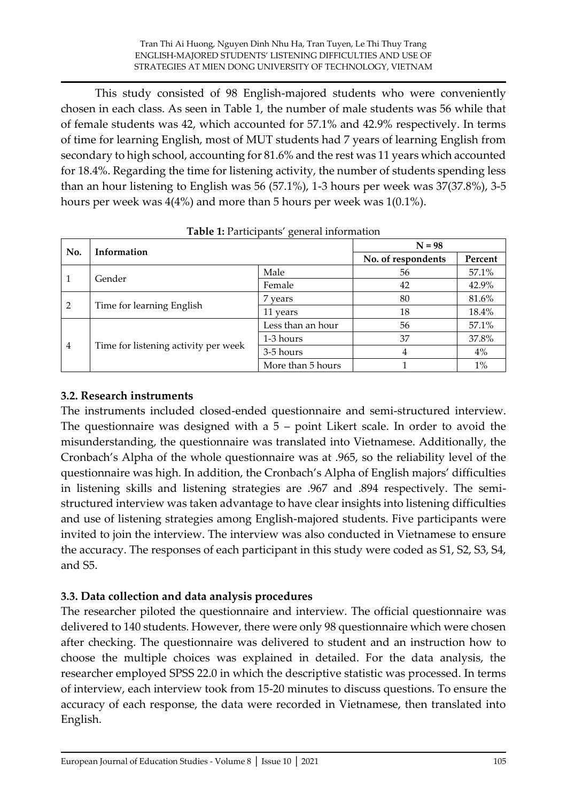This study consisted of 98 English-majored students who were conveniently chosen in each class. As seen in Table 1, the number of male students was 56 while that of female students was 42, which accounted for 57.1% and 42.9% respectively. In terms of time for learning English, most of MUT students had 7 years of learning English from secondary to high school, accounting for 81.6% and the rest was 11 years which accounted for 18.4%. Regarding the time for listening activity, the number of students spending less than an hour listening to English was 56 (57.1%), 1-3 hours per week was 37(37.8%), 3-5 hours per week was 4(4%) and more than 5 hours per week was 1(0.1%).

|     | Information                          | $\epsilon$        | $N = 98$           |         |
|-----|--------------------------------------|-------------------|--------------------|---------|
| No. |                                      |                   | No. of respondents | Percent |
| 1   |                                      | Male              | 56                 | 57.1%   |
|     | Gender                               | Female            | 42                 | 42.9%   |
| 2   | Time for learning English            | 7 years           | 80                 | 81.6%   |
|     |                                      | 11 years          | 18                 | 18.4%   |
| 4   |                                      | Less than an hour | 56                 | 57.1%   |
|     |                                      | 1-3 hours         | 37                 | 37.8%   |
|     | Time for listening activity per week | 3-5 hours         | 4                  | 4%      |
|     |                                      | More than 5 hours |                    | $1\%$   |

| Table 1: Participants' general information |  |
|--------------------------------------------|--|
|--------------------------------------------|--|

### **3.2. Research instruments**

The instruments included closed-ended questionnaire and semi-structured interview. The questionnaire was designed with a 5 – point Likert scale. In order to avoid the misunderstanding, the questionnaire was translated into Vietnamese. Additionally, the Cronbach's Alpha of the whole questionnaire was at .965, so the reliability level of the questionnaire was high. In addition, the Cronbach's Alpha of English majors' difficulties in listening skills and listening strategies are .967 and .894 respectively. The semistructured interview was taken advantage to have clear insights into listening difficulties and use of listening strategies among English-majored students. Five participants were invited to join the interview. The interview was also conducted in Vietnamese to ensure the accuracy. The responses of each participant in this study were coded as S1, S2, S3, S4, and S5.

# **3.3. Data collection and data analysis procedures**

The researcher piloted the questionnaire and interview. The official questionnaire was delivered to 140 students. However, there were only 98 questionnaire which were chosen after checking. The questionnaire was delivered to student and an instruction how to choose the multiple choices was explained in detailed. For the data analysis, the researcher employed SPSS 22.0 in which the descriptive statistic was processed. In terms of interview, each interview took from 15-20 minutes to discuss questions. To ensure the accuracy of each response, the data were recorded in Vietnamese, then translated into English.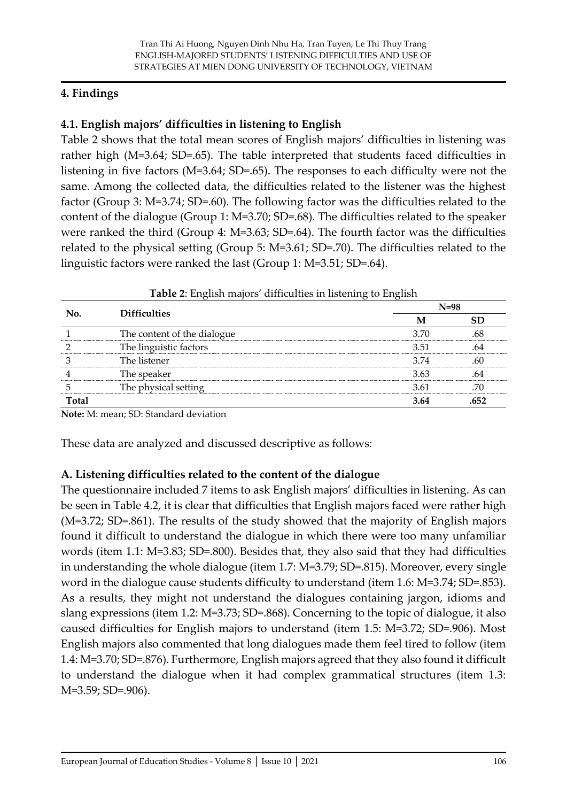### **4. Findings**

# **4.1. English majors' difficulties in listening to English**

Table 2 shows that the total mean scores of English majors' difficulties in listening was rather high (M=3.64; SD=.65). The table interpreted that students faced difficulties in listening in five factors (M=3.64; SD=.65). The responses to each difficulty were not the same. Among the collected data, the difficulties related to the listener was the highest factor (Group 3: M=3.74; SD=.60). The following factor was the difficulties related to the content of the dialogue (Group 1: M=3.70; SD=.68). The difficulties related to the speaker were ranked the third (Group 4: M=3.63; SD=.64). The fourth factor was the difficulties related to the physical setting (Group 5: M=3.61; SD=.70). The difficulties related to the linguistic factors were ranked the last (Group 1: M=3.51; SD=.64).

|       |                             |      | $N=98$    |
|-------|-----------------------------|------|-----------|
| No.   | <b>Difficulties</b>         | M    | <b>SD</b> |
|       | The content of the dialogue | 3.70 | .68       |
|       | The linguistic factors      | 3.51 | .64       |
|       | The listener                | 3.74 | .60       |
|       | The speaker                 | 3.63 | .64       |
|       | The physical setting        | 3.61 | .70       |
| Total |                             | 3.64 | .652      |

**Table 2**: English majors' difficulties in listening to English

**Note:** M: mean; SD: Standard deviation

These data are analyzed and discussed descriptive as follows:

# **A. Listening difficulties related to the content of the dialogue**

The questionnaire included 7 items to ask English majors' difficulties in listening. As can be seen in Table 4.2, it is clear that difficulties that English majors faced were rather high (M=3.72; SD=.861). The results of the study showed that the majority of English majors found it difficult to understand the dialogue in which there were too many unfamiliar words (item 1.1: M=3.83; SD=.800). Besides that, they also said that they had difficulties in understanding the whole dialogue (item 1.7: M=3.79; SD=.815). Moreover, every single word in the dialogue cause students difficulty to understand (item 1.6: M=3.74; SD=.853). As a results, they might not understand the dialogues containing jargon, idioms and slang expressions (item 1.2: M=3.73; SD=.868). Concerning to the topic of dialogue, it also caused difficulties for English majors to understand (item 1.5: M=3.72; SD=.906). Most English majors also commented that long dialogues made them feel tired to follow (item 1.4: M=3.70; SD=.876). Furthermore, English majors agreed that they also found it difficult to understand the dialogue when it had complex grammatical structures (item 1.3: M=3.59; SD=.906).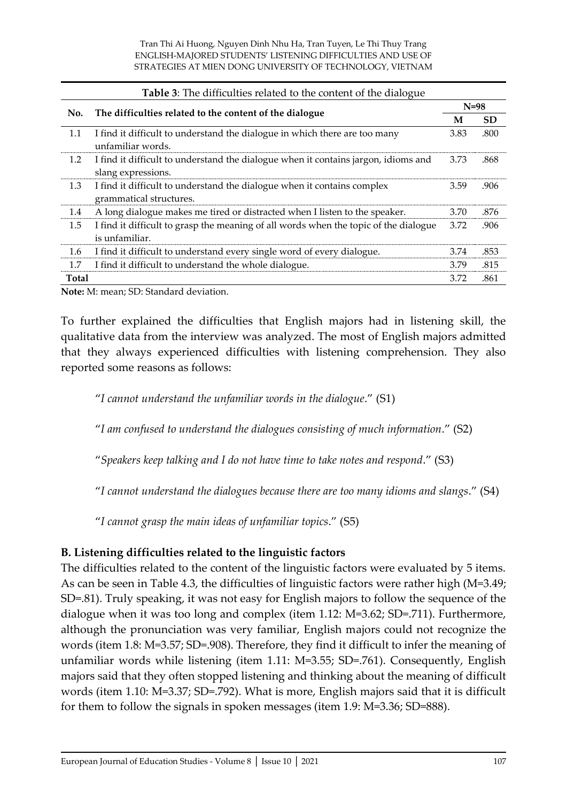| <b>Table 3:</b> The difficulties related to the content of the dialogue |                                                                                                          |        |           |
|-------------------------------------------------------------------------|----------------------------------------------------------------------------------------------------------|--------|-----------|
| No.                                                                     | The difficulties related to the content of the dialogue                                                  | $N=98$ |           |
|                                                                         |                                                                                                          | M      | <b>SD</b> |
| 1.1                                                                     | I find it difficult to understand the dialogue in which there are too many<br>unfamiliar words.          | 3.83   | .800      |
| 1.2                                                                     | I find it difficult to understand the dialogue when it contains jargon, idioms and<br>slang expressions. | 3.73   | .868      |
| 1.3                                                                     | I find it difficult to understand the dialogue when it contains complex<br>grammatical structures.       | 3.59   | .906      |
| 1.4                                                                     | A long dialogue makes me tired or distracted when I listen to the speaker.                               | 3.70   | .876      |
| 1.5                                                                     | I find it difficult to grasp the meaning of all words when the topic of the dialogue<br>is unfamiliar.   | 3.72   | .906      |
| 1.6                                                                     | I find it difficult to understand every single word of every dialogue.                                   | 3.74   | .853      |
| 1.7                                                                     | I find it difficult to understand the whole dialogue.                                                    | 3.79   | .815      |
| <b>Total</b>                                                            |                                                                                                          | 3.72   | .861      |

To further explained the difficulties that English majors had in listening skill, the qualitative data from the interview was analyzed. The most of English majors admitted that they always experienced difficulties with listening comprehension. They also reported some reasons as follows:

"*I cannot understand the unfamiliar words in the dialogue*." (S1)

"*I am confused to understand the dialogues consisting of much information*." (S2)

"*Speakers keep talking and I do not have time to take notes and respond*." (S3)

"*I cannot understand the dialogues because there are too many idioms and slangs*." (S4)

"*I cannot grasp the main ideas of unfamiliar topics*." (S5)

### **B. Listening difficulties related to the linguistic factors**

The difficulties related to the content of the linguistic factors were evaluated by 5 items. As can be seen in Table 4.3, the difficulties of linguistic factors were rather high (M=3.49; SD=.81). Truly speaking, it was not easy for English majors to follow the sequence of the dialogue when it was too long and complex (item 1.12: M=3.62; SD=.711). Furthermore, although the pronunciation was very familiar, English majors could not recognize the words (item 1.8: M=3.57; SD=.908). Therefore, they find it difficult to infer the meaning of unfamiliar words while listening (item 1.11: M=3.55; SD=.761). Consequently, English majors said that they often stopped listening and thinking about the meaning of difficult words (item 1.10: M=3.37; SD=.792). What is more, English majors said that it is difficult for them to follow the signals in spoken messages (item 1.9: M=3.36; SD=888).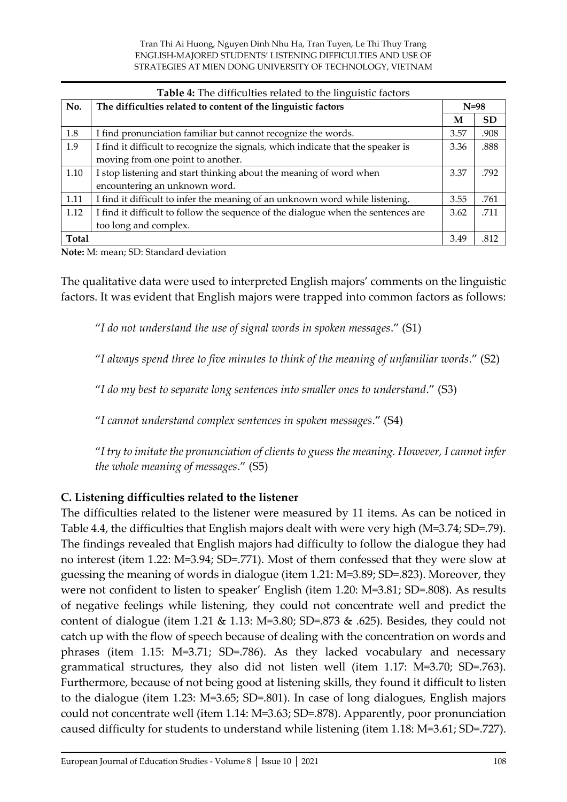|       | <b>Table 4:</b> The difficulties related to the linguistic factors                |        |           |  |
|-------|-----------------------------------------------------------------------------------|--------|-----------|--|
| No.   | The difficulties related to content of the linguistic factors                     | $N=98$ |           |  |
|       |                                                                                   | M      | <b>SD</b> |  |
| 1.8   | I find pronunciation familiar but cannot recognize the words.                     | 3.57   | .908      |  |
| 1.9   | I find it difficult to recognize the signals, which indicate that the speaker is  | 3.36   | .888      |  |
|       | moving from one point to another.                                                 |        |           |  |
| 1.10  | I stop listening and start thinking about the meaning of word when                | 3.37   | .792      |  |
|       | encountering an unknown word.                                                     |        |           |  |
| 1.11  | I find it difficult to infer the meaning of an unknown word while listening.      | 3.55   | .761      |  |
| 1.12  | I find it difficult to follow the sequence of the dialogue when the sentences are | 3.62   | .711      |  |
|       | too long and complex.                                                             |        |           |  |
| Total |                                                                                   | 3.49   | .812      |  |

The qualitative data were used to interpreted English majors' comments on the linguistic factors. It was evident that English majors were trapped into common factors as follows:

"*I do not understand the use of signal words in spoken messages*." (S1)

"*I always spend three to five minutes to think of the meaning of unfamiliar words*." (S2)

"*I do my best to separate long sentences into smaller ones to understand*." (S3)

"*I cannot understand complex sentences in spoken messages*." (S4)

"*I try to imitate the pronunciation of clients to guess the meaning. However, I cannot infer the whole meaning of messages*." (S5)

### **C. Listening difficulties related to the listener**

The difficulties related to the listener were measured by 11 items. As can be noticed in Table 4.4, the difficulties that English majors dealt with were very high (M=3.74; SD=.79). The findings revealed that English majors had difficulty to follow the dialogue they had no interest (item 1.22: M=3.94; SD=.771). Most of them confessed that they were slow at guessing the meaning of words in dialogue (item 1.21: M=3.89; SD=.823). Moreover, they were not confident to listen to speaker' English (item 1.20: M=3.81; SD=.808). As results of negative feelings while listening, they could not concentrate well and predict the content of dialogue (item 1.21 & 1.13: M=3.80; SD=.873 & .625). Besides, they could not catch up with the flow of speech because of dealing with the concentration on words and phrases (item 1.15: M=3.71; SD=.786). As they lacked vocabulary and necessary grammatical structures, they also did not listen well (item 1.17: M=3.70; SD=.763). Furthermore, because of not being good at listening skills, they found it difficult to listen to the dialogue (item 1.23: M=3.65; SD=.801). In case of long dialogues, English majors could not concentrate well (item 1.14: M=3.63; SD=.878). Apparently, poor pronunciation caused difficulty for students to understand while listening (item 1.18: M=3.61; SD=.727).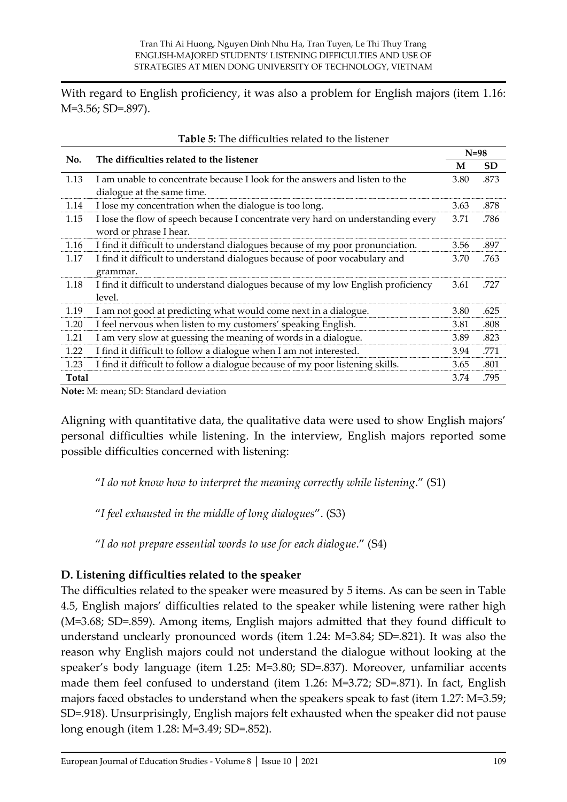With regard to English proficiency, it was also a problem for English majors (item 1.16: M=3.56; SD=.897).

|       | The difficulties related to the listener                                          |      | $N=98$    |
|-------|-----------------------------------------------------------------------------------|------|-----------|
| No.   |                                                                                   | M    | <b>SD</b> |
| 1.13  | I am unable to concentrate because I look for the answers and listen to the       | 3.80 | .873      |
|       | dialogue at the same time.                                                        |      |           |
| 1.14  | I lose my concentration when the dialogue is too long.                            | 3.63 | .878      |
| 1.15  | I lose the flow of speech because I concentrate very hard on understanding every  | 3.71 | .786      |
|       | word or phrase I hear.                                                            |      |           |
| 1.16  | I find it difficult to understand dialogues because of my poor pronunciation.     | 3.56 | .897      |
| 1.17  | I find it difficult to understand dialogues because of poor vocabulary and        | 3.70 | .763      |
|       | grammar.                                                                          |      |           |
| 1.18  | I find it difficult to understand dialogues because of my low English proficiency | 3.61 | .727      |
|       | level.                                                                            |      |           |
| 1.19  | I am not good at predicting what would come next in a dialogue.                   | 3.80 | .625      |
| 1.20  | I feel nervous when listen to my customers' speaking English.                     | 3.81 | .808      |
| 1.21  | I am very slow at guessing the meaning of words in a dialogue.                    | 3.89 | .823      |
| 1.22  | I find it difficult to follow a dialogue when I am not interested.                | 3.94 | .771      |
| 1.23  | I find it difficult to follow a dialogue because of my poor listening skills.     | 3.65 | .801      |
| Total |                                                                                   | 3.74 | .795      |

**Note:** M: mean; SD: Standard deviation

Aligning with quantitative data, the qualitative data were used to show English majors' personal difficulties while listening. In the interview, English majors reported some possible difficulties concerned with listening:

"*I do not know how to interpret the meaning correctly while listening*." (S1)

"*I feel exhausted in the middle of long dialogues*". (S3)

"*I do not prepare essential words to use for each dialogue*." (S4)

# **D. Listening difficulties related to the speaker**

The difficulties related to the speaker were measured by 5 items. As can be seen in Table 4.5, English majors' difficulties related to the speaker while listening were rather high (M=3.68; SD=.859). Among items, English majors admitted that they found difficult to understand unclearly pronounced words (item 1.24: M=3.84; SD=.821). It was also the reason why English majors could not understand the dialogue without looking at the speaker's body language (item 1.25: M=3.80; SD=.837). Moreover, unfamiliar accents made them feel confused to understand (item 1.26: M=3.72; SD=.871). In fact, English majors faced obstacles to understand when the speakers speak to fast (item 1.27: M=3.59; SD=.918). Unsurprisingly, English majors felt exhausted when the speaker did not pause long enough (item 1.28: M=3.49; SD=.852).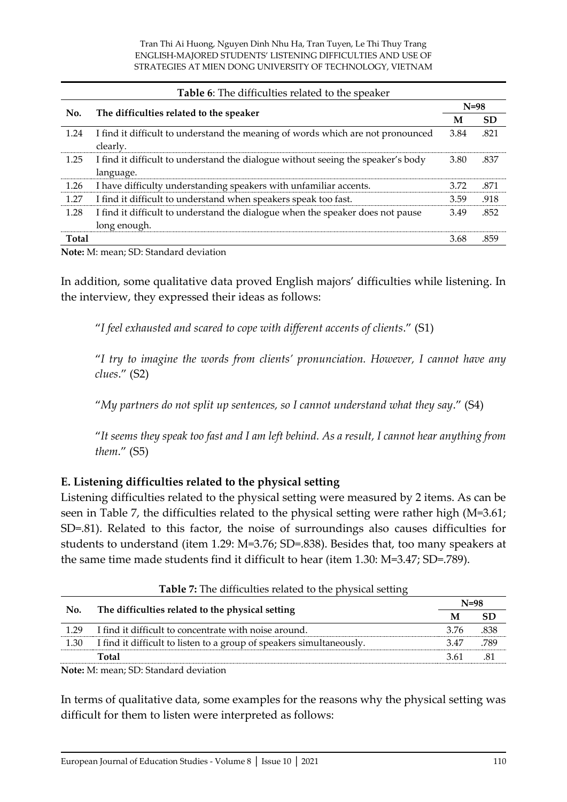| Table 6: The difficulties related to the speaker |                                                                                                |        |           |  |
|--------------------------------------------------|------------------------------------------------------------------------------------------------|--------|-----------|--|
| No.                                              | The difficulties related to the speaker                                                        | $N=98$ |           |  |
|                                                  |                                                                                                | М      | <b>SD</b> |  |
| 1.24                                             | I find it difficult to understand the meaning of words which are not pronounced<br>clearly.    | 3.84   | .821      |  |
| 1.25                                             | I find it difficult to understand the dialogue without seeing the speaker's body<br>language.  | 3.80   | .837      |  |
| 1.26                                             | I have difficulty understanding speakers with unfamiliar accents.                              | 3.72   | .871      |  |
| 1.27                                             | I find it difficult to understand when speakers speak too fast.                                | 3.59   | .918      |  |
| 1.28                                             | I find it difficult to understand the dialogue when the speaker does not pause<br>long enough. | 3.49   | .852      |  |
| <b>Total</b>                                     |                                                                                                | 3.68   | .859      |  |

In addition, some qualitative data proved English majors' difficulties while listening. In the interview, they expressed their ideas as follows:

"*I feel exhausted and scared to cope with different accents of clients*." (S1)

"*I try to imagine the words from clients' pronunciation. However, I cannot have any clues*." (S2)

"*My partners do not split up sentences, so I cannot understand what they say*." (S4)

"*It seems they speak too fast and I am left behind. As a result, I cannot hear anything from them*." (S5)

### **E. Listening difficulties related to the physical setting**

Listening difficulties related to the physical setting were measured by 2 items. As can be seen in Table 7, the difficulties related to the physical setting were rather high (M=3.61; SD=.81). Related to this factor, the noise of surroundings also causes difficulties for students to understand (item 1.29: M=3.76; SD=.838). Besides that, too many speakers at the same time made students find it difficult to hear (item 1.30: M=3.47; SD=.789).

| <b>THEIR IT THE MILLEMENT LEARCH TO THE PILTOICAL SCILLING</b> |                                                                      |      |        |  |  |
|----------------------------------------------------------------|----------------------------------------------------------------------|------|--------|--|--|
| No.                                                            | The difficulties related to the physical setting                     |      | $N=98$ |  |  |
|                                                                |                                                                      | М    | SD     |  |  |
| 1 29                                                           | I find it difficult to concentrate with noise around.                | 3.76 | .838   |  |  |
| 1.30                                                           | I find it difficult to listen to a group of speakers simultaneously. | 3.47 | 789    |  |  |
|                                                                | Total                                                                | 3.61 |        |  |  |
|                                                                | .                                                                    |      |        |  |  |

**Table 7:** The difficulties related to the physical setting

**Note:** M: mean; SD: Standard deviation

In terms of qualitative data, some examples for the reasons why the physical setting was difficult for them to listen were interpreted as follows: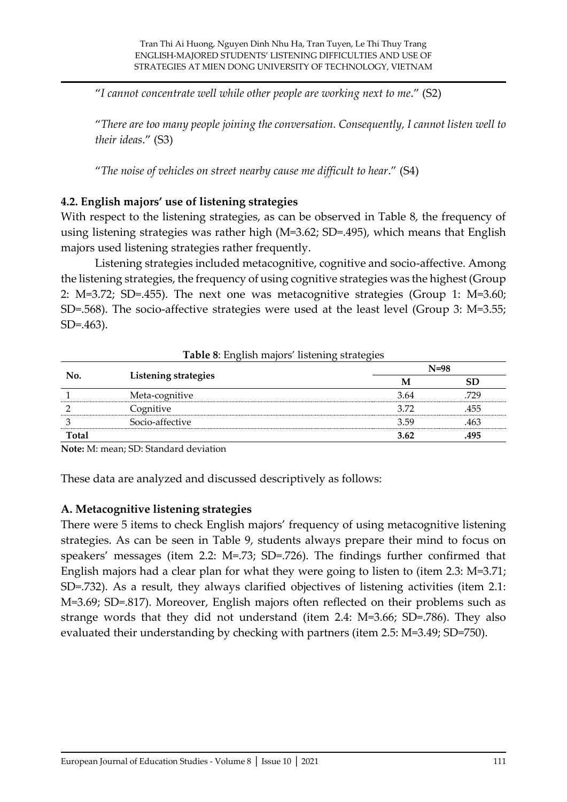"*I cannot concentrate well while other people are working next to me*." (S2)

"*There are too many people joining the conversation. Consequently, I cannot listen well to their ideas*." (S3)

"*The noise of vehicles on street nearby cause me difficult to hear*." (S4)

### **4.2. English majors' use of listening strategies**

With respect to the listening strategies, as can be observed in Table 8, the frequency of using listening strategies was rather high (M=3.62; SD=.495), which means that English majors used listening strategies rather frequently.

Listening strategies included metacognitive, cognitive and socio-affective. Among the listening strategies, the frequency of using cognitive strategies was the highest (Group 2: M=3.72; SD=.455). The next one was metacognitive strategies (Group 1: M=3.60; SD=.568). The socio-affective strategies were used at the least level (Group 3: M=3.55; SD=.463).

|              |                      |      | $N=98$ |
|--------------|----------------------|------|--------|
| No.          | Listening strategies | M    | SD     |
|              | Meta-cognitive       | 3.64 | .729   |
|              | Cognitive            | 3.72 | .455   |
|              | Socio-affective      | 3.59 | .463   |
| <b>Total</b> |                      | 3.62 | .495   |

**Table 8**: English majors' listening strategies

**Note:** M: mean; SD: Standard deviation

These data are analyzed and discussed descriptively as follows:

### **A. Metacognitive listening strategies**

There were 5 items to check English majors' frequency of using metacognitive listening strategies. As can be seen in Table 9, students always prepare their mind to focus on speakers' messages (item 2.2: M=.73; SD=.726). The findings further confirmed that English majors had a clear plan for what they were going to listen to (item 2.3: M=3.71; SD=.732). As a result, they always clarified objectives of listening activities (item 2.1: M=3.69; SD=.817). Moreover, English majors often reflected on their problems such as strange words that they did not understand (item 2.4: M=3.66; SD=.786). They also evaluated their understanding by checking with partners (item 2.5: M=3.49; SD=750).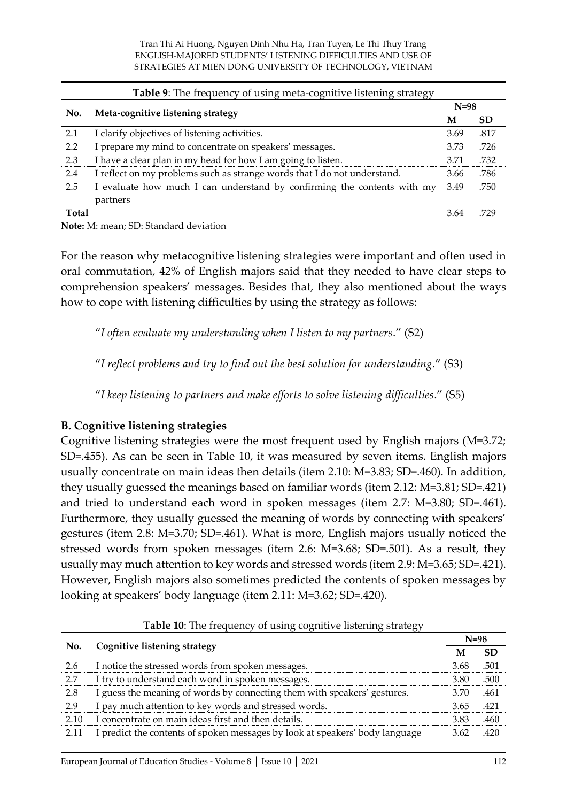|              | Table 9: The frequency of using meta-cognitive listening strategy                   |        |           |  |  |
|--------------|-------------------------------------------------------------------------------------|--------|-----------|--|--|
| No.          | Meta-cognitive listening strategy                                                   | $N=98$ |           |  |  |
|              |                                                                                     | M      | <b>SD</b> |  |  |
| 2.1          | I clarify objectives of listening activities.                                       | 3.69   | .817      |  |  |
| 2.2          | I prepare my mind to concentrate on speakers' messages.                             | 3.73   | .726      |  |  |
| 2.3          | I have a clear plan in my head for how I am going to listen.                        | 3.71   | .732      |  |  |
| 2.4          | I reflect on my problems such as strange words that I do not understand.            | 3.66   | .786      |  |  |
| 2.5          | I evaluate how much I can understand by confirming the contents with my<br>partners | 3.49   | .750      |  |  |
| <b>Total</b> |                                                                                     | 3.64   |           |  |  |

For the reason why metacognitive listening strategies were important and often used in oral commutation, 42% of English majors said that they needed to have clear steps to comprehension speakers' messages. Besides that, they also mentioned about the ways how to cope with listening difficulties by using the strategy as follows:

"*I often evaluate my understanding when I listen to my partners*." (S2)

"*I reflect problems and try to find out the best solution for understanding*." (S3)

"*I keep listening to partners and make efforts to solve listening difficulties*." (S5)

# **B. Cognitive listening strategies**

Cognitive listening strategies were the most frequent used by English majors (M=3.72; SD=.455). As can be seen in Table 10, it was measured by seven items. English majors usually concentrate on main ideas then details (item 2.10: M=3.83; SD=.460). In addition, they usually guessed the meanings based on familiar words (item 2.12: M=3.81; SD=.421) and tried to understand each word in spoken messages (item 2.7: M=3.80; SD=.461). Furthermore, they usually guessed the meaning of words by connecting with speakers' gestures (item 2.8: M=3.70; SD=.461). What is more, English majors usually noticed the stressed words from spoken messages (item 2.6: M=3.68; SD=.501). As a result, they usually may much attention to key words and stressed words (item 2.9: M=3.65; SD=.421). However, English majors also sometimes predicted the contents of spoken messages by looking at speakers' body language (item 2.11: M=3.62; SD=.420).

|      | Cognitive listening strategy                                                 | $N=98$ |           |
|------|------------------------------------------------------------------------------|--------|-----------|
| No.  |                                                                              | M      | <b>SD</b> |
| 2.6  | I notice the stressed words from spoken messages.                            | 3.68   | .501      |
| 2.7  | I try to understand each word in spoken messages.                            | 3.80   | .500      |
| 2.8  | I guess the meaning of words by connecting them with speakers' gestures.     | 3.70   | .461      |
| 2.9  | I pay much attention to key words and stressed words.                        | 3.65   | .421      |
| 2.10 | I concentrate on main ideas first and then details.                          | 3.83   | .460      |
| 2.11 | I predict the contents of spoken messages by look at speakers' body language | 3.62   | 420       |

**Table 10**: The frequency of using cognitive listening strategy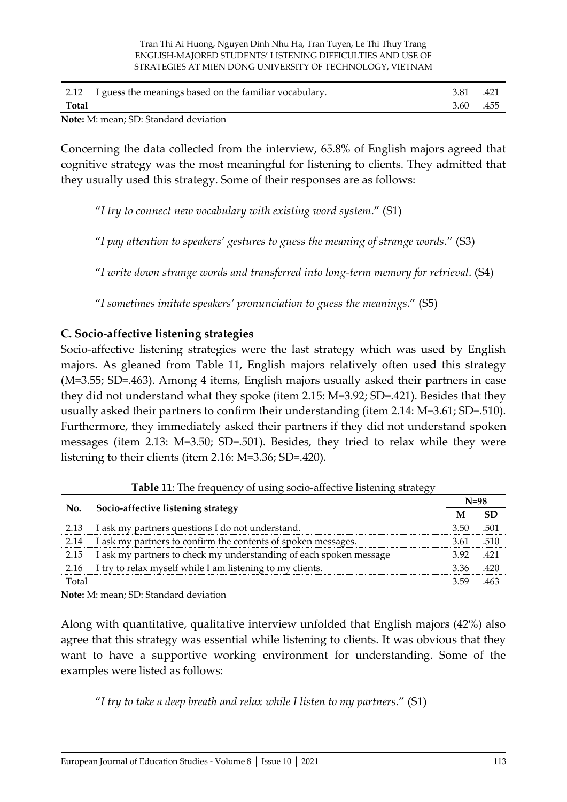| <br>$-1$ | $\cdots$<br>on the<br>$1n$ $\alpha$ c<br>-tamil*<br>01100c<br>hased<br>л. | - റ- | ≖∸        |
|----------|---------------------------------------------------------------------------|------|-----------|
|          |                                                                           | 3.OU | --<br>40. |

Concerning the data collected from the interview, 65.8% of English majors agreed that cognitive strategy was the most meaningful for listening to clients. They admitted that they usually used this strategy. Some of their responses are as follows:

"*I try to connect new vocabulary with existing word system*." (S1)

"*I pay attention to speakers' gestures to guess the meaning of strange words*." (S3)

"*I write down strange words and transferred into long-term memory for retrieval*. (S4)

"*I sometimes imitate speakers' pronunciation to guess the meanings*." (S5)

### **C. Socio-affective listening strategies**

Socio-affective listening strategies were the last strategy which was used by English majors. As gleaned from Table 11, English majors relatively often used this strategy (M=3.55; SD=.463). Among 4 items, English majors usually asked their partners in case they did not understand what they spoke (item 2.15: M=3.92; SD=.421). Besides that they usually asked their partners to confirm their understanding (item 2.14: M=3.61; SD=.510). Furthermore, they immediately asked their partners if they did not understand spoken messages (item 2.13: M=3.50; SD=.501). Besides, they tried to relax while they were listening to their clients (item 2.16: M=3.36; SD=.420).

| No.   | Socio-affective listening strategy                                 | $N=98$ |      |
|-------|--------------------------------------------------------------------|--------|------|
|       |                                                                    | M      | SD   |
| 2.13  | I ask my partners questions I do not understand.                   | 3.50   | .501 |
| 2.14  | I ask my partners to confirm the contents of spoken messages.      | 3.61   | .510 |
| 2.15  | I ask my partners to check my understanding of each spoken message | 392    | .421 |
| 2.16  | I try to relax myself while I am listening to my clients.          | 3.36   | .420 |
| Total |                                                                    | 3.59   |      |

**Table 11:** The frequency of using socio-affective listening strategy

**Note:** M: mean; SD: Standard deviation

Along with quantitative, qualitative interview unfolded that English majors (42%) also agree that this strategy was essential while listening to clients. It was obvious that they want to have a supportive working environment for understanding. Some of the examples were listed as follows:

"*I try to take a deep breath and relax while I listen to my partners*." (S1)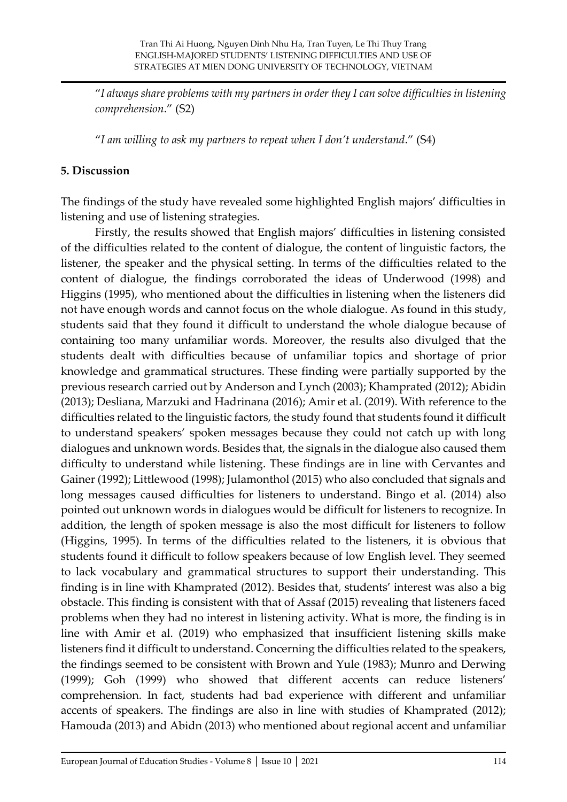"*I always share problems with my partners in order they I can solve difficulties in listening comprehension*." (S2)

"*I am willing to ask my partners to repeat when I don't understand*." (S4)

### **5. Discussion**

The findings of the study have revealed some highlighted English majors' difficulties in listening and use of listening strategies.

Firstly, the results showed that English majors' difficulties in listening consisted of the difficulties related to the content of dialogue, the content of linguistic factors, the listener, the speaker and the physical setting. In terms of the difficulties related to the content of dialogue, the findings corroborated the ideas of Underwood (1998) and Higgins (1995), who mentioned about the difficulties in listening when the listeners did not have enough words and cannot focus on the whole dialogue. As found in this study, students said that they found it difficult to understand the whole dialogue because of containing too many unfamiliar words. Moreover, the results also divulged that the students dealt with difficulties because of unfamiliar topics and shortage of prior knowledge and grammatical structures. These finding were partially supported by the previous research carried out by Anderson and Lynch (2003); Khamprated (2012); Abidin (2013); Desliana, Marzuki and Hadrinana (2016); Amir et al. (2019). With reference to the difficulties related to the linguistic factors, the study found that students found it difficult to understand speakers' spoken messages because they could not catch up with long dialogues and unknown words. Besides that, the signals in the dialogue also caused them difficulty to understand while listening. These findings are in line with Cervantes and Gainer (1992); Littlewood (1998); Julamonthol (2015) who also concluded that signals and long messages caused difficulties for listeners to understand. Bingo et al. (2014) also pointed out unknown words in dialogues would be difficult for listeners to recognize. In addition, the length of spoken message is also the most difficult for listeners to follow (Higgins, 1995). In terms of the difficulties related to the listeners, it is obvious that students found it difficult to follow speakers because of low English level. They seemed to lack vocabulary and grammatical structures to support their understanding. This finding is in line with Khamprated (2012). Besides that, students' interest was also a big obstacle. This finding is consistent with that of Assaf (2015) revealing that listeners faced problems when they had no interest in listening activity. What is more, the finding is in line with Amir et al. (2019) who emphasized that insufficient listening skills make listeners find it difficult to understand. Concerning the difficulties related to the speakers, the findings seemed to be consistent with Brown and Yule (1983); Munro and Derwing (1999); Goh (1999) who showed that different accents can reduce listeners' comprehension. In fact, students had bad experience with different and unfamiliar accents of speakers. The findings are also in line with studies of Khamprated (2012); Hamouda (2013) and Abidn (2013) who mentioned about regional accent and unfamiliar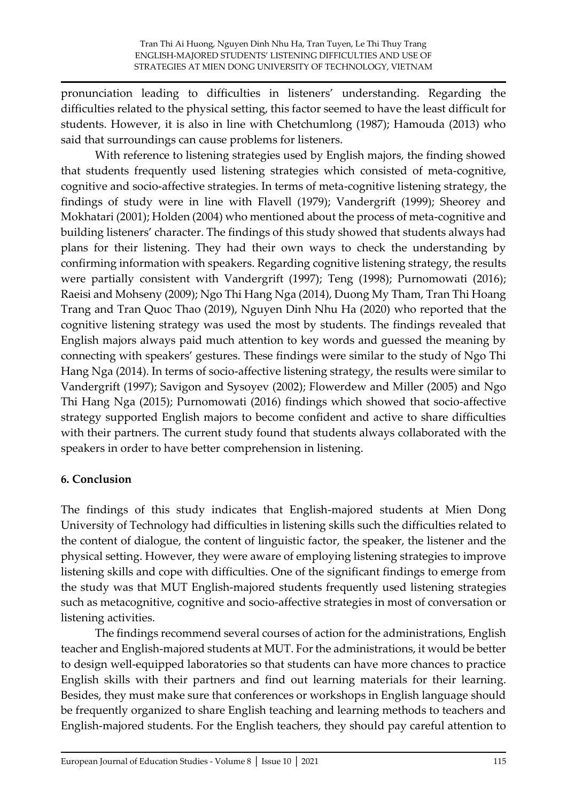pronunciation leading to difficulties in listeners' understanding. Regarding the difficulties related to the physical setting, this factor seemed to have the least difficult for students. However, it is also in line with Chetchumlong (1987); Hamouda (2013) who said that surroundings can cause problems for listeners.

With reference to listening strategies used by English majors, the finding showed that students frequently used listening strategies which consisted of meta-cognitive, cognitive and socio-affective strategies. In terms of meta-cognitive listening strategy, the findings of study were in line with Flavell (1979); Vandergrift (1999); Sheorey and Mokhatari (2001); Holden (2004) who mentioned about the process of meta-cognitive and building listeners' character. The findings of this study showed that students always had plans for their listening. They had their own ways to check the understanding by confirming information with speakers. Regarding cognitive listening strategy, the results were partially consistent with Vandergrift (1997); Teng (1998); Purnomowati (2016); Raeisi and Mohseny (2009); Ngo Thi Hang Nga (2014), Duong My Tham, Tran Thi Hoang Trang and Tran Quoc Thao (2019), Nguyen Dinh Nhu Ha (2020) who reported that the cognitive listening strategy was used the most by students. The findings revealed that English majors always paid much attention to key words and guessed the meaning by connecting with speakers' gestures. These findings were similar to the study of Ngo Thi Hang Nga (2014). In terms of socio-affective listening strategy, the results were similar to Vandergrift (1997); Savigon and Sysoyev (2002); Flowerdew and Miller (2005) and Ngo Thi Hang Nga (2015); Purnomowati (2016) findings which showed that socio-affective strategy supported English majors to become confident and active to share difficulties with their partners. The current study found that students always collaborated with the speakers in order to have better comprehension in listening.

# **6. Conclusion**

The findings of this study indicates that English-majored students at Mien Dong University of Technology had difficulties in listening skills such the difficulties related to the content of dialogue, the content of linguistic factor, the speaker, the listener and the physical setting. However, they were aware of employing listening strategies to improve listening skills and cope with difficulties. One of the significant findings to emerge from the study was that MUT English-majored students frequently used listening strategies such as metacognitive, cognitive and socio-affective strategies in most of conversation or listening activities.

The findings recommend several courses of action for the administrations, English teacher and English-majored students at MUT. For the administrations, it would be better to design well-equipped laboratories so that students can have more chances to practice English skills with their partners and find out learning materials for their learning. Besides, they must make sure that conferences or workshops in English language should be frequently organized to share English teaching and learning methods to teachers and English-majored students. For the English teachers, they should pay careful attention to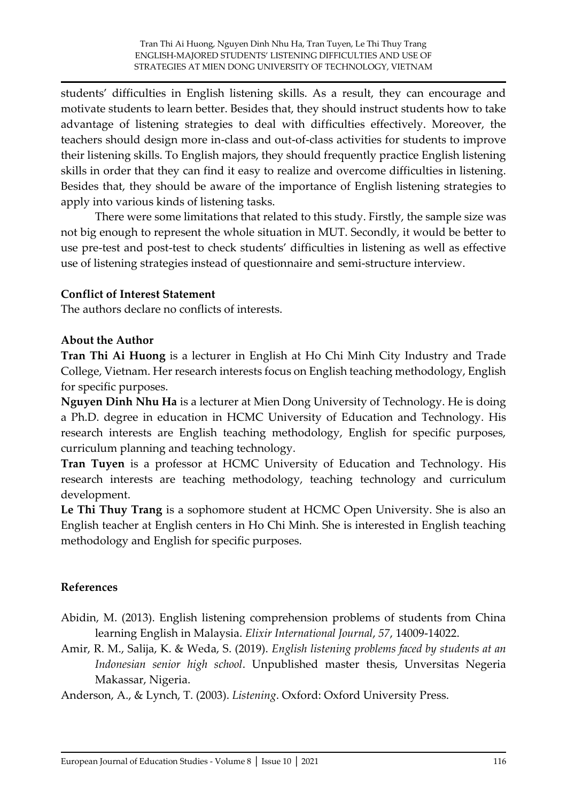students' difficulties in English listening skills. As a result, they can encourage and motivate students to learn better. Besides that, they should instruct students how to take advantage of listening strategies to deal with difficulties effectively. Moreover, the teachers should design more in-class and out-of-class activities for students to improve their listening skills. To English majors, they should frequently practice English listening skills in order that they can find it easy to realize and overcome difficulties in listening. Besides that, they should be aware of the importance of English listening strategies to apply into various kinds of listening tasks.

There were some limitations that related to this study. Firstly, the sample size was not big enough to represent the whole situation in MUT. Secondly, it would be better to use pre-test and post-test to check students' difficulties in listening as well as effective use of listening strategies instead of questionnaire and semi-structure interview.

### **Conflict of Interest Statement**

The authors declare no conflicts of interests.

#### **About the Author**

**Tran Thi Ai Huong** is a lecturer in English at Ho Chi Minh City Industry and Trade College, Vietnam. Her research interests focus on English teaching methodology, English for specific purposes.

**Nguyen Dinh Nhu Ha** is a lecturer at Mien Dong University of Technology. He is doing a Ph.D. degree in education in HCMC University of Education and Technology. His research interests are English teaching methodology, English for specific purposes, curriculum planning and teaching technology.

**Tran Tuyen** is a professor at HCMC University of Education and Technology. His research interests are teaching methodology, teaching technology and curriculum development.

**Le Thi Thuy Trang** is a sophomore student at HCMC Open University. She is also an English teacher at English centers in Ho Chi Minh. She is interested in English teaching methodology and English for specific purposes.

### **References**

- Abidin, M. (2013). English listening comprehension problems of students from China learning English in Malaysia. *Elixir International Journal*, *57*, 14009-14022.
- Amir, R. M., Salija, K. & Weda, S. (2019). *English listening problems faced by students at an Indonesian senior high school*. Unpublished master thesis, Unversitas Negeria Makassar, Nigeria.

Anderson, A., & Lynch, T. (2003). *Listening*. Oxford: Oxford University Press.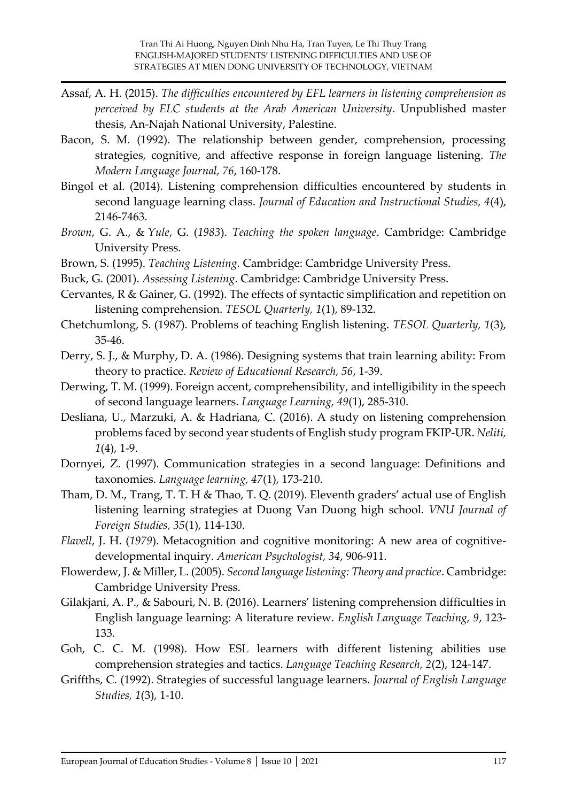- Assaf, A. H. (2015). *The difficulties encountered by EFL learners in listening comprehension as perceived by ELC students at the Arab American University*. Unpublished master thesis, An-Najah National University, Palestine.
- Bacon, S. M. (1992). The relationship between gender, comprehension, processing strategies, cognitive, and affective response in foreign language listening. *The Modern Language Journal, 76*, 160-178.
- Bingol et al. (2014). Listening comprehension difficulties encountered by students in second language learning class. *Journal of Education and Instructional Studies, 4*(4), 2146-7463.
- *Brown*, G. A., & *Yule*, G. (*1983*). *Teaching the spoken language*. Cambridge: Cambridge University Press.
- Brown, S. (1995). *Teaching Listening.* Cambridge: Cambridge University Press.
- Buck, G. (2001). *Assessing Listening*. Cambridge: Cambridge University Press.
- Cervantes, R & Gainer, G. (1992). The effects of syntactic simplification and repetition on listening comprehension. *TESOL Quarterly, 1*(1), 89-132.
- Chetchumlong, S. (1987). Problems of teaching English listening. *TESOL Quarterly, 1*(3), 35-46.
- Derry, S. J., & Murphy, D. A. (1986). Designing systems that train learning ability: From theory to practice. *Review of Educational Research, 56*, 1-39.
- Derwing, T. M. (1999). Foreign accent, comprehensibility, and intelligibility in the speech of second language learners. *Language Learning, 49*(1), 285-310.
- Desliana, U., Marzuki, A. & Hadriana, C. (2016). A study on listening comprehension problems faced by second year students of English study program FKIP-UR. *Neliti, 1*(4), 1-9.
- Dornyei, Z. (1997). Communication strategies in a second language: Definitions and taxonomies. *Language learning, 47*(1), 173-210.
- Tham, D. M., Trang, T. T. H & Thao, T. Q. (2019). Eleventh graders' actual use of English listening learning strategies at Duong Van Duong high school. *VNU Journal of Foreign Studies, 35*(1), 114-130.
- *Flavell*, J. H. (*1979*). Metacognition and cognitive monitoring: A new area of cognitivedevelopmental inquiry. *American Psychologist, 34*, 906-911.
- Flowerdew, J. & Miller, L. (2005). *Second language listening: Theory and practice*. Cambridge: Cambridge University Press.
- Gilakjani, A. P., & Sabouri, N. B. (2016). Learners' listening comprehension difficulties in English language learning: A literature review. *English Language Teaching, 9*, 123- 133.
- Goh, C. C. M. (1998). How ESL learners with different listening abilities use comprehension strategies and tactics. *Language Teaching Research, 2*(2), 124-147.
- Griffths, C. (1992). Strategies of successful language learners. *Journal of English Language Studies, 1*(3), 1-10.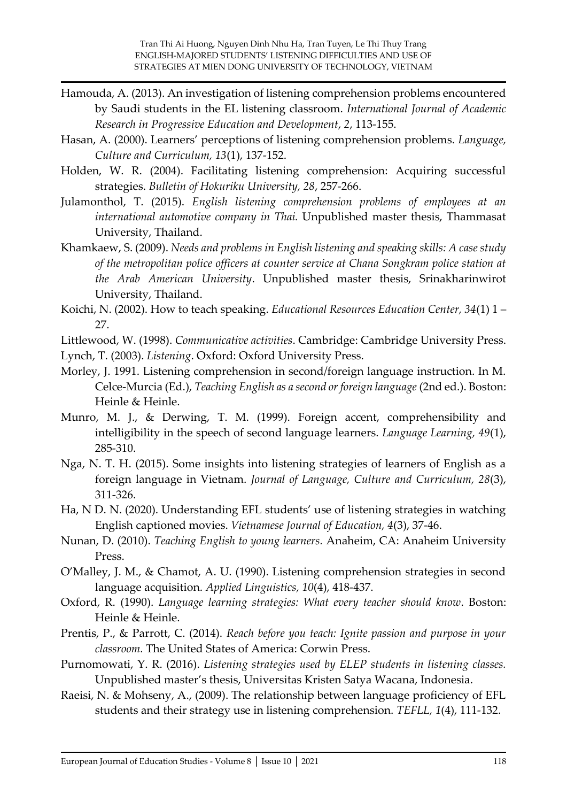- Hamouda, A. (2013). An investigation of listening comprehension problems encountered by Saudi students in the EL listening classroom. *International Journal of Academic Research in Progressive Education and Development*, *2*, 113-155.
- Hasan, A. (2000). Learners' perceptions of listening comprehension problems. *Language, Culture and Curriculum, 13*(1), 137-152.
- Holden, W. R. (2004). Facilitating listening comprehension: Acquiring successful strategies. *Bulletin of Hokuriku University, 28*, 257-266.
- Julamonthol, T. (2015). *English listening comprehension problems of employees at an international automotive company in Thai.* Unpublished master thesis, Thammasat University, Thailand.
- Khamkaew, S. (2009). *Needs and problems in English listening and speaking skills: A case study of the metropolitan police officers at counter service at Chana Songkram police station at the Arab American University*. Unpublished master thesis, Srinakharinwirot University, Thailand.
- Koichi, N. (2002). How to teach speaking. *Educational Resources Education Center, 34*(1) 1 27.
- Littlewood, W. (1998). *Communicative activities*. Cambridge: Cambridge University Press.
- Lynch, T. (2003). *Listening*. Oxford: Oxford University Press.
- Morley, J. 1991. Listening comprehension in second/foreign language instruction. In M. Celce-Murcia (Ed.), *Teaching English as a second or foreign language* (2nd ed.). Boston: Heinle & Heinle.
- Munro, M. J., & Derwing, T. M. (1999). Foreign accent, comprehensibility and intelligibility in the speech of second language learners. *Language Learning, 49*(1), 285-310.
- Nga, N. T. H. (2015). Some insights into listening strategies of learners of English as a foreign language in Vietnam. *Journal of Language, Culture and Curriculum, 28*(3), 311-326.
- Ha, N D. N. (2020). Understanding EFL students' use of listening strategies in watching English captioned movies. *Vietnamese Journal of Education, 4*(3), 37-46.
- Nunan, D. (2010). *Teaching English to young learners.* Anaheim, CA: Anaheim University Press.
- O'Malley, J. M., & Chamot, A. U. (1990). Listening comprehension strategies in second language acquisition. *Applied Linguistics, 10*(4), 418-437.
- Oxford, R. (1990). *Language learning strategies: What every teacher should know*. Boston: Heinle & Heinle.
- Prentis, P., & Parrott, C. (2014). *Reach before you teach: Ignite passion and purpose in your classroom.* The United States of America: Corwin Press.
- Purnomowati, Y. R. (2016). *Listening strategies used by ELEP students in listening classes.*  Unpublished master's thesis, Universitas Kristen Satya Wacana, Indonesia.
- Raeisi, N. & Mohseny, A., (2009). The relationship between language proficiency of EFL students and their strategy use in listening comprehension. *TEFLL, 1*(4), 111-132.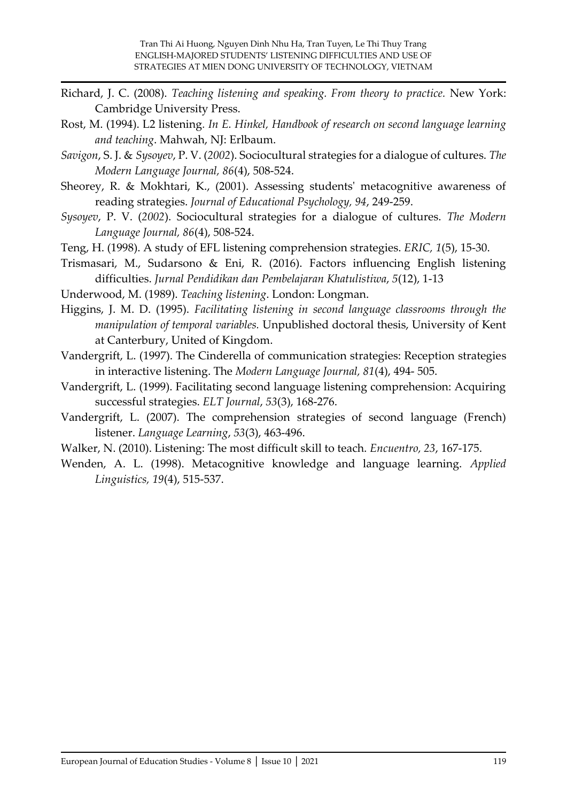- Richard, J. C. (2008). *Teaching listening and speaking. From theory to practice.* New York: Cambridge University Press.
- Rost, M. (1994). L2 listening*. In E. Hinkel, Handbook of research on second language learning and teaching*. Mahwah, NJ: Erlbaum.
- *Savigon*, S. J. & *Sysoyev*, P. V. (*2002*). Sociocultural strategies for a dialogue of cultures. *The Modern Language Journal, 86*(4), 508-524.
- Sheorey, R. & Mokhtari, K., (2001). Assessing students' metacognitive awareness of reading strategies. *Journal of Educational Psychology, 94*, 249-259.
- *Sysoyev*, P. V. (*2002*). Sociocultural strategies for a dialogue of cultures. *The Modern Language Journal, 86*(4), 508-524.
- Teng, H. (1998). A study of EFL listening comprehension strategies. *ERIC, 1*(5), 15-30.
- Trismasari, M., Sudarsono & Eni, R. (2016). Factors influencing English listening difficulties. *Jurnal Pendidikan dan Pembelajaran Khatulistiwa*, *5*(12), 1-13
- Underwood, M. (1989). *Teaching listening*. London: Longman.
- Higgins, J. M. D. (1995). *Facilitating listening in second language classrooms through the manipulation of temporal variables.* Unpublished doctoral thesis, University of Kent at Canterbury, United of Kingdom.
- Vandergrift, L. (1997). The Cinderella of communication strategies: Reception strategies in interactive listening. The *Modern Language Journal, 81*(4), 494- 505.
- Vandergrift, L. (1999). Facilitating second language listening comprehension: Acquiring successful strategies. *ELT Journal*, *53*(3), 168‐276.
- Vandergrift, L. (2007). The comprehension strategies of second language (French) listener. *Language Learning*, *53*(3), 463-496.
- Walker, N. (2010). Listening: The most difficult skill to teach. *Encuentro, 23*, 167-175.
- Wenden, A. L. (1998). Metacognitive knowledge and language learning. *Applied Linguistics, 19*(4), 515-537.